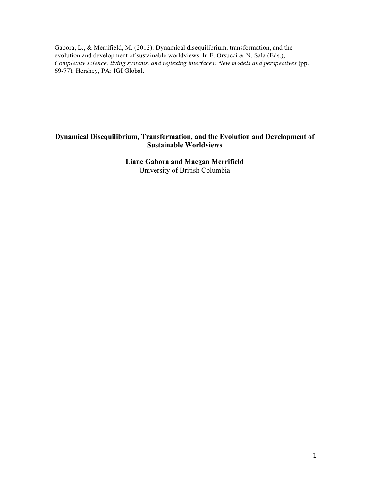Gabora, L., & Merrifield, M. (2012). Dynamical disequilibrium, transformation, and the evolution and development of sustainable worldviews. In F. Orsucci & N. Sala (Eds.), *Complexity science, living systems, and reflexing interfaces: New models and perspectives* (pp. 69-77). Hershey, PA: IGI Global.

# **Dynamical Disequilibrium, Transformation, and the Evolution and Development of Sustainable Worldviews**

# **Liane Gabora and Maegan Merrifield**  University of British Columbia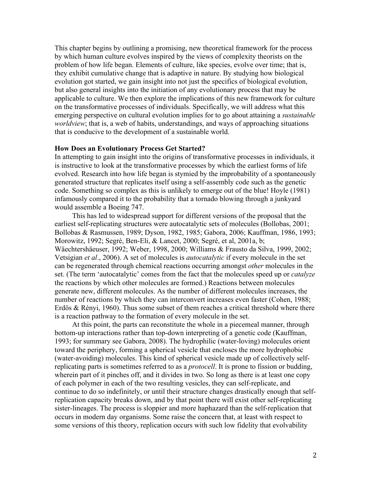This chapter begins by outlining a promising, new theoretical framework for the process by which human culture evolves inspired by the views of complexity theorists on the problem of how life began. Elements of culture, like species, evolve over time; that is, they exhibit cumulative change that is adaptive in nature. By studying how biological evolution got started, we gain insight into not just the specifics of biological evolution, but also general insights into the initiation of any evolutionary process that may be applicable to culture. We then explore the implications of this new framework for culture on the transformative processes of individuals. Specifically, we will address what this emerging perspective on cultural evolution implies for to go about attaining a *sustainable worldview*; that is, a web of habits, understandings, and ways of approaching situations that is conducive to the development of a sustainable world.

### **How Does an Evolutionary Process Get Started?**

In attempting to gain insight into the origins of transformative processes in individuals, it is instructive to look at the transformative processes by which the earliest forms of life evolved. Research into how life began is stymied by the improbability of a spontaneously generated structure that replicates itself using a self-assembly code such as the genetic code. Something so complex as this is unlikely to emerge out of the blue! Hoyle (1981) infamously compared it to the probability that a tornado blowing through a junkyard would assemble a Boeing 747.

This has led to widespread support for different versions of the proposal that the earliest self-replicating structures were autocatalytic sets of molecules (Bollobas, 2001; Bollobas & Rasmussen, 1989; Dyson, 1982, 1985; Gabora, 2006; Kauffman, 1986, 1993; Morowitz, 1992; Segré, Ben-Eli, & Lancet, 2000; Segré, et al, 2001a, b; Wäechtershäeuser, 1992; Weber, 1998, 2000; Williams & Frausto da Silva, 1999, 2002; Vetsigian *et al*., 2006). A set of molecules is *autocatalytic* if every molecule in the set can be regenerated through chemical reactions occurring amongst *other* molecules in the set. (The term 'autocatalytic' comes from the fact that the molecules speed up or *catalyze* the reactions by which other molecules are formed.) Reactions between molecules generate new, different molecules. As the number of different molecules increases, the number of reactions by which they can interconvert increases even faster (Cohen, 1988; Erdös & Rényi, 1960). Thus some subset of them reaches a critical threshold where there is a reaction pathway to the formation of every molecule in the set.

At this point, the parts can reconstitute the whole in a piecemeal manner, through bottom-up interactions rather than top-down interpreting of a genetic code (Kauffman, 1993; for summary see Gabora, 2008). The hydrophilic (water-loving) molecules orient toward the periphery, forming a spherical vesicle that encloses the more hydrophobic (water-avoiding) molecules. This kind of spherical vesicle made up of collectively selfreplicating parts is sometimes referred to as a *protocell*. It is prone to fission or budding, wherein part of it pinches off, and it divides in two. So long as there is at least one copy of each polymer in each of the two resulting vesicles, they can self-replicate, and continue to do so indefinitely, or until their structure changes drastically enough that selfreplication capacity breaks down, and by that point there will exist other self-replicating sister-lineages. The process is sloppier and more haphazard than the self-replication that occurs in modern day organisms. Some raise the concern that, at least with respect to some versions of this theory, replication occurs with such low fidelity that evolvability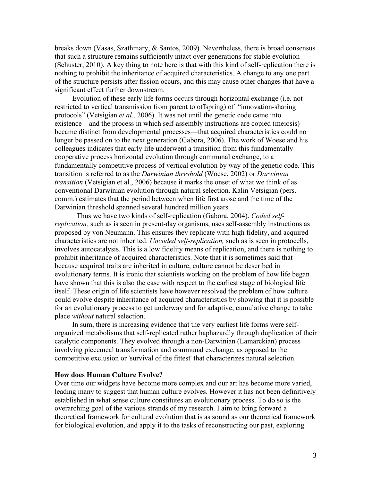breaks down (Vasas, Szathmary, & Santos, 2009). Nevertheless, there is broad consensus that such a structure remains sufficiently intact over generations for stable evolution (Schuster, 2010). A key thing to note here is that with this kind of self-replication there is nothing to prohibit the inheritance of acquired characteristics. A change to any one part of the structure persists after fission occurs, and this may cause other changes that have a significant effect further downstream.

Evolution of these early life forms occurs through horizontal exchange (i.e. not restricted to vertical transmission from parent to offspring) of "innovation-sharing protocols" (Vetsigian *et al.,* 2006). It was not until the genetic code came into existence—and the process in which self-assembly instructions are copied (meiosis) became distinct from developmental processes—that acquired characteristics could no longer be passed on to the next generation (Gabora, 2006). The work of Woese and his colleagues indicates that early life underwent a transition from this fundamentally cooperative process horizontal evolution through communal exchange, to a fundamentally competitive process of vertical evolution by way of the genetic code. This transition is referred to as the *Darwinian threshold* (Woese, 2002) or *Darwinian transition* (Vetsigian et al., 2006) because it marks the onset of what we think of as conventional Darwinian evolution through natural selection. Kalin Vetsigian (pers. comm.) estimates that the period between when life first arose and the time of the Darwinian threshold spanned several hundred million years.

Thus we have two kinds of self-replication (Gabora, 2004). *Coded selfreplication,* such as is seen in present-day organisms, uses self-assembly instructions as proposed by von Neumann. This ensures they replicate with high fidelity, and acquired characteristics are not inherited. *Uncoded self-replication,* such as is seen in protocells, involves autocatalysis. This is a low fidelity means of replication, and there is nothing to prohibit inheritance of acquired characteristics. Note that it is sometimes said that because acquired traits are inherited in culture, culture cannot be described in evolutionary terms. It is ironic that scientists working on the problem of how life began have shown that this is also the case with respect to the earliest stage of biological life itself. These origin of life scientists have however resolved the problem of how culture could evolve despite inheritance of acquired characteristics by showing that it is possible for an evolutionary process to get underway and for adaptive, cumulative change to take place *without* natural selection.

In sum, there is increasing evidence that the very earliest life forms were selforganized metabolisms that self-replicated rather haphazardly through duplication of their catalytic components. They evolved through a non-Darwinian (Lamarckian) process involving piecemeal transformation and communal exchange, as opposed to the competitive exclusion or 'survival of the fittest' that characterizes natural selection.

# **How does Human Culture Evolve?**

Over time our widgets have become more complex and our art has become more varied, leading many to suggest that human culture evolves. However it has not been definitively established in what sense culture constitutes an evolutionary process. To do so is the overarching goal of the various strands of my research. I aim to bring forward a theoretical framework for cultural evolution that is as sound as our theoretical framework for biological evolution, and apply it to the tasks of reconstructing our past, exploring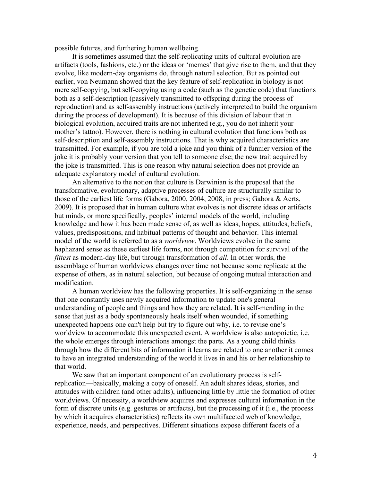possible futures, and furthering human wellbeing.

It is sometimes assumed that the self-replicating units of cultural evolution are artifacts (tools, fashions, etc.) or the ideas or 'memes' that give rise to them, and that they evolve, like modern-day organisms do, through natural selection. But as pointed out earlier, von Neumann showed that the key feature of self-replication in biology is not mere self-copying, but self-copying using a code (such as the genetic code) that functions both as a self-description (passively transmitted to offspring during the process of reproduction) and as self-assembly instructions (actively interpreted to build the organism during the process of development). It is because of this division of labour that in biological evolution, acquired traits are not inherited (e.g., you do not inherit your mother's tattoo). However, there is nothing in cultural evolution that functions both as self-description and self-assembly instructions. That is why acquired characteristics are transmitted. For example, if you are told a joke and you think of a funnier version of the joke it is probably your version that you tell to someone else; the new trait acquired by the joke is transmitted. This is one reason why natural selection does not provide an adequate explanatory model of cultural evolution.

An alternative to the notion that culture is Darwinian is the proposal that the transformative, evolutionary, adaptive processes of culture are structurally similar to those of the earliest life forms (Gabora, 2000, 2004, 2008, in press; Gabora & Aerts, 2009). It is proposed that in human culture what evolves is not discrete ideas or artifacts but minds, or more specifically, peoples' internal models of the world, including knowledge and how it has been made sense of, as well as ideas, hopes, attitudes, beliefs, values, predispositions, and habitual patterns of thought and behavior. This internal model of the world is referred to as a *worldview*. Worldviews evolve in the same haphazard sense as these earliest life forms, not through competition for survival of the *fittest* as modern-day life, but through transformation of *all*. In other words, the assemblage of human worldviews changes over time not because some replicate at the expense of others, as in natural selection, but because of ongoing mutual interaction and modification.

A human worldview has the following properties. It is self-organizing in the sense that one constantly uses newly acquired information to update one's general understanding of people and things and how they are related. It is self-mending in the sense that just as a body spontaneously heals itself when wounded, if something unexpected happens one can't help but try to figure out why, i.e. to revise one's worldview to accommodate this unexpected event. A worldview is also autopoietic, i.e. the whole emerges through interactions amongst the parts. As a young child thinks through how the different bits of information it learns are related to one another it comes to have an integrated understanding of the world it lives in and his or her relationship to that world.

We saw that an important component of an evolutionary process is selfreplication—basically, making a copy of oneself. An adult shares ideas, stories, and attitudes with children (and other adults), influencing little by little the formation of other worldviews. Of necessity, a worldview acquires and expresses cultural information in the form of discrete units (e.g. gestures or artifacts), but the processing of it (i.e., the process by which it acquires characteristics) reflects its own multifaceted web of knowledge, experience, needs, and perspectives. Different situations expose different facets of a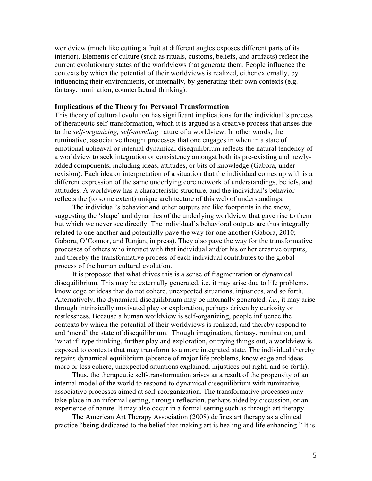worldview (much like cutting a fruit at different angles exposes different parts of its interior). Elements of culture (such as rituals, customs, beliefs, and artifacts) reflect the current evolutionary states of the worldviews that generate them. People influence the contexts by which the potential of their worldviews is realized, either externally, by influencing their environments, or internally, by generating their own contexts (e.g. fantasy, rumination, counterfactual thinking).

## **Implications of the Theory for Personal Transformation**

This theory of cultural evolution has significant implications for the individual's process of therapeutic self-transformation, which it is argued is a creative process that arises due to the *self-organizing, self-mending* nature of a worldview. In other words, the ruminative, associative thought processes that one engages in when in a state of emotional upheaval or internal dynamical disequilibrium reflects the natural tendency of a worldview to seek integration or consistency amongst both its pre-existing and newlyadded components, including ideas, attitudes, or bits of knowledge (Gabora, under revision). Each idea or interpretation of a situation that the individual comes up with is a different expression of the same underlying core network of understandings, beliefs, and attitudes. A worldview has a characteristic structure, and the individual's behavior reflects the (to some extent) unique architecture of this web of understandings.

The individual's behavior and other outputs are like footprints in the snow, suggesting the 'shape' and dynamics of the underlying worldview that gave rise to them but which we never see directly. The individual's behavioral outputs are thus integrally related to one another and potentially pave the way for one another (Gabora, 2010; Gabora, O'Connor, and Ranjan, in press). They also pave the way for the transformative processes of others who interact with that individual and/or his or her creative outputs, and thereby the transformative process of each individual contributes to the global process of the human cultural evolution.

It is proposed that what drives this is a sense of fragmentation or dynamical disequilibrium. This may be externally generated, i.e. it may arise due to life problems, knowledge or ideas that do not cohere, unexpected situations, injustices, and so forth. Alternatively, the dynamical disequilibrium may be internally generated, *i.e*., it may arise through intrinsically motivated play or exploration, perhaps driven by curiosity or restlessness. Because a human worldview is self-organizing, people influence the contexts by which the potential of their worldviews is realized, and thereby respond to and 'mend' the state of disequilibrium. Though imagination, fantasy, rumination, and 'what if' type thinking, further play and exploration, or trying things out, a worldview is exposed to contexts that may transform to a more integrated state. The individual thereby regains dynamical equilibrium (absence of major life problems, knowledge and ideas more or less cohere, unexpected situations explained, injustices put right, and so forth).

Thus, the therapeutic self-transformation arises as a result of the propensity of an internal model of the world to respond to dynamical disequilibrium with ruminative, associative processes aimed at self-reorganization. The transformative processes may take place in an informal setting, through reflection, perhaps aided by discussion, or an experience of nature. It may also occur in a formal setting such as through art therapy.

The American Art Therapy Association (2008) defines art therapy as a clinical practice "being dedicated to the belief that making art is healing and life enhancing." It is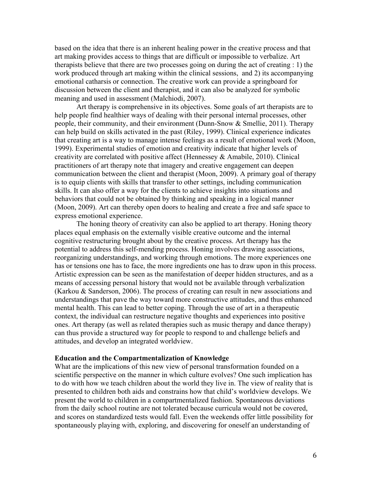based on the idea that there is an inherent healing power in the creative process and that art making provides access to things that are difficult or impossible to verbalize. Art therapists believe that there are two processes going on during the act of creating : 1) the work produced through art making within the clinical sessions, and 2) its accompanying emotional catharsis or connection. The creative work can provide a springboard for discussion between the client and therapist, and it can also be analyzed for symbolic meaning and used in assessment (Malchiodi, 2007).

Art therapy is comprehensive in its objectives. Some goals of art therapists are to help people find healthier ways of dealing with their personal internal processes, other people, their community, and their environment (Dunn-Snow & Smellie, 2011). Therapy can help build on skills activated in the past (Riley, 1999). Clinical experience indicates that creating art is a way to manage intense feelings as a result of emotional work (Moon, 1999). Experimental studies of emotion and creativity indicate that higher levels of creativity are correlated with positive affect (Hennessey & Amabile, 2010). Clinical practitioners of art therapy note that imagery and creative engagement can deepen communication between the client and therapist (Moon, 2009). A primary goal of therapy is to equip clients with skills that transfer to other settings, including communication skills. It can also offer a way for the clients to achieve insights into situations and behaviors that could not be obtained by thinking and speaking in a logical manner (Moon, 2009). Art can thereby open doors to healing and create a free and safe space to express emotional experience.

The honing theory of creativity can also be applied to art therapy. Honing theory places equal emphasis on the externally visible creative outcome and the internal cognitive restructuring brought about by the creative process. Art therapy has the potential to address this self-mending process. Honing involves drawing associations, reorganizing understandings, and working through emotions. The more experiences one has or tensions one has to face, the more ingredients one has to draw upon in this process. Artistic expression can be seen as the manifestation of deeper hidden structures, and as a means of accessing personal history that would not be available through verbalization (Karkou & Sanderson, 2006). The process of creating can result in new associations and understandings that pave the way toward more constructive attitudes, and thus enhanced mental health. This can lead to better coping. Through the use of art in a therapeutic context, the individual can restructure negative thoughts and experiences into positive ones. Art therapy (as well as related therapies such as music therapy and dance therapy) can thus provide a structured way for people to respond to and challenge beliefs and attitudes, and develop an integrated worldview.

### **Education and the Compartmentalization of Knowledge**

What are the implications of this new view of personal transformation founded on a scientific perspective on the manner in which culture evolves? One such implication has to do with how we teach children about the world they live in. The view of reality that is presented to children both aids and constrains how that child's worldview develops. We present the world to children in a compartmentalized fashion. Spontaneous deviations from the daily school routine are not tolerated because curricula would not be covered, and scores on standardized tests would fall. Even the weekends offer little possibility for spontaneously playing with, exploring, and discovering for oneself an understanding of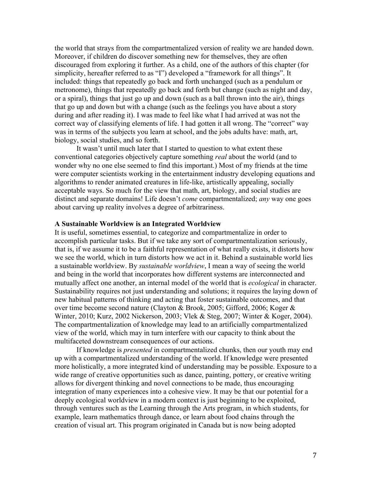the world that strays from the compartmentalized version of reality we are handed down. Moreover, if children do discover something new for themselves, they are often discouraged from exploring it further. As a child, one of the authors of this chapter (for simplicity, hereafter referred to as "I") developed a "framework for all things". It included: things that repeatedly go back and forth unchanged (such as a pendulum or metronome), things that repeatedly go back and forth but change (such as night and day, or a spiral), things that just go up and down (such as a ball thrown into the air), things that go up and down but with a change (such as the feelings you have about a story during and after reading it). I was made to feel like what I had arrived at was not the correct way of classifying elements of life. I had gotten it all wrong. The "correct" way was in terms of the subjects you learn at school, and the jobs adults have: math, art, biology, social studies, and so forth.

It wasn't until much later that I started to question to what extent these conventional categories objectively capture something *real* about the world (and to wonder why no one else seemed to find this important.) Most of my friends at the time were computer scientists working in the entertainment industry developing equations and algorithms to render animated creatures in life-like, artistically appealing, socially acceptable ways. So much for the view that math, art, biology, and social studies are distinct and separate domains! Life doesn't *come* compartmentalized; *any* way one goes about carving up reality involves a degree of arbitrariness.

### **A Sustainable Worldview is an Integrated Worldview**

It is useful, sometimes essential, to categorize and compartmentalize in order to accomplish particular tasks. But if we take any sort of compartmentalization seriously, that is, if we assume it to be a faithful representation of what really exists, it distorts how we see the world, which in turn distorts how we act in it. Behind a sustainable world lies a sustainable worldview. By *sustainable worldview*, I mean a way of seeing the world and being in the world that incorporates how different systems are interconnected and mutually affect one another, an internal model of the world that is *ecological* in character. Sustainability requires not just understanding and solutions; it requires the laying down of new habitual patterns of thinking and acting that foster sustainable outcomes, and that over time become second nature (Clayton & Brook, 2005; Gifford, 2006; Koger & Winter, 2010; Kurz, 2002 Nickerson, 2003; Vlek & Steg, 2007; Winter & Koger, 2004). The compartmentalization of knowledge may lead to an artificially compartmentalized view of the world, which may in turn interfere with our capacity to think about the multifaceted downstream consequences of our actions.

If knowledge is *presented* in compartmentalized chunks, then our youth may end up with a compartmentalized understanding of the world. If knowledge were presented more holistically, a more integrated kind of understanding may be possible. Exposure to a wide range of creative opportunities such as dance, painting, pottery, or creative writing allows for divergent thinking and novel connections to be made, thus encouraging integration of many experiences into a cohesive view. It may be that our potential for a deeply ecological worldview in a modern context is just beginning to be exploited, through ventures such as the Learning through the Arts program, in which students, for example, learn mathematics through dance, or learn about food chains through the creation of visual art. This program originated in Canada but is now being adopted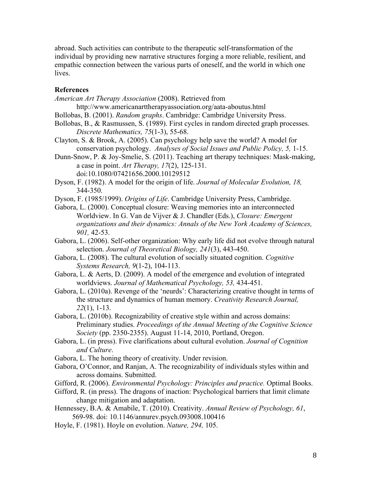abroad. Such activities can contribute to the therapeutic self-transformation of the individual by providing new narrative structures forging a more reliable, resilient, and empathic connection between the various parts of oneself, and the world in which one lives.

# **References**

*American Art Therapy Association* (2008). Retrieved from

http://www.americanarttherapyassociation.org/aata-aboutus.html

- Bollobas, B. (2001). *Random graphs*. Cambridge: Cambridge University Press.
- Bollobas, B., & Rasmussen, S. (1989). First cycles in random directed graph processes. *Discrete Mathematics, 75*(1-3), 55-68.
- Clayton, S. & Brook, A. (2005). Can psychology help save the world? A model for conservation psychology. *Analyses of Social Issues and Public Policy, 5,* 1-15.
- Dunn-Snow, P. & Joy-Smelie, S. (2011). Teaching art therapy techniques: Mask-making, a case in point. *Art Therapy, 17*(2), 125-131. doi:10.1080/07421656.2000.10129512
- Dyson, F. (1982). A model for the origin of life. *Journal of Molecular Evolution, 18,* 344-350.
- Dyson, F. (1985/1999). *Origins of Life*. Cambridge University Press, Cambridge.
- Gabora, L. (2000). Conceptual closure: Weaving memories into an interconnected Worldview. In G. Van de Vijver & J. Chandler (Eds.), *Closure: Emergent organizations and their dynamics: Annals of the New York Academy of Sciences, 901,* 42-53.
- Gabora, L. (2006). Self-other organization: Why early life did not evolve through natural selection. *Journal of Theoretical Biology, 241*(3), 443-450.
- Gabora, L. (2008). The cultural evolution of socially situated cognition. *Cognitive Systems Research, 9*(1-2), 104-113.
- Gabora, L. & Aerts, D. (2009). A model of the emergence and evolution of integrated worldviews. *Journal of Mathematical Psychology, 53,* 434-451.
- Gabora, L. (2010a). Revenge of the 'neurds': Characterizing creative thought in terms of the structure and dynamics of human memory. *Creativity Research Journal, 22*(1), 1-13.
- Gabora, L. (2010b). Recognizability of creative style within and across domains: Preliminary studies. *Proceedings of the Annual Meeting of the Cognitive Science Society* (pp. 2350-2355). August 11-14, 2010, Portland, Oregon.
- Gabora, L. (in press). Five clarifications about cultural evolution. *Journal of Cognition and Culture*.
- Gabora, L. The honing theory of creativity. Under revision.
- Gabora, O'Connor, and Ranjan, A. The recognizability of individuals styles within and across domains. Submitted.
- Gifford, R. (2006). *Environmental Psychology: Principles and practice.* Optimal Books.
- Gifford, R. (in press). The dragons of inaction: Psychological barriers that limit climate change mitigation and adaptation.
- Hennessey, B.A. & Amabile, T. (2010). Creativity. *Annual Review of Psychology, 61*, 569-98. doi: 10.1146/annurev.psych.093008.100416
- Hoyle, F. (1981). Hoyle on evolution. *Nature, 294,* 105.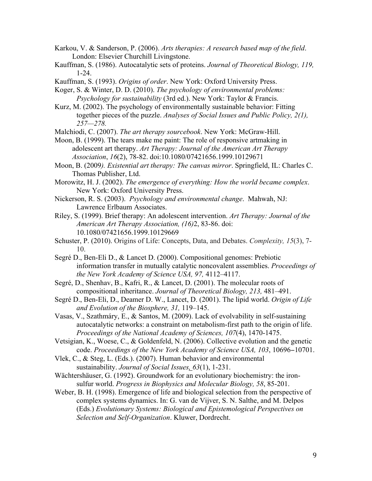- Karkou, V. & Sanderson, P. (2006). *Arts therapies: A research based map of the field*. London: Elsevier Churchill Livingstone.
- Kauffman, S. (1986). Autocatalytic sets of proteins. *Journal of Theoretical Biology, 119,* 1-24.
- Kauffman, S. (1993). *Origins of order*. New York: Oxford University Press.

Koger, S. & Winter, D. D. (2010). *The psychology of environmental problems: Psychology for sustainability* (3rd ed.). New York: Taylor & Francis.

Kurz, M. (2002). The psychology of environmentally sustainable behavior: Fitting together pieces of the puzzle. *Analyses of Social Issues and Public Policy, 2(1), 257—278.*

Malchiodi, C. (2007). *The art therapy sourcebook*. New York: McGraw-Hill.

Moon, B. (1999). The tears make me paint: The role of responsive artmaking in adolescent art therapy. *Art Therapy: Journal of the American Art Therapy Association*, *16*(2), 78-82. doi:10.1080/07421656.1999.10129671

Moon, B. (2009*). Existential art therapy: The canvas mirror*. Springfield, IL: Charles C. Thomas Publisher, Ltd.

Morowitz, H. J. (2002). *The emergence of everything: How the world became complex*. New York: Oxford University Press.

Nickerson, R. S. (2003). *Psychology and environmental change*. Mahwah, NJ: Lawrence Erlbaum Associates.

Riley, S. (1999). Brief therapy: An adolescent intervention. *Art Therapy: Journal of the American Art Therapy Association, (16)*2, 83-86. doi: 10.1080/07421656.1999.10129669

Schuster, P. (2010). Origins of Life: Concepts, Data, and Debates. *Complexity, 15*(3), 7- 10.

Segré D., Ben-Eli D., & Lancet D. (2000). Compositional genomes: Prebiotic information transfer in mutually catalytic noncovalent assemblies. *Proceedings of the New York Academy of Science USA, 97,* 4112–4117.

Segré, D., Shenhav, B., Kafri, R., & Lancet, D. (2001). The molecular roots of compositional inheritance. *Journal of Theoretical Biology, 213,* 481–491.

Segré D., Ben-Eli, D., Deamer D. W., Lancet, D. (2001). The lipid world. *Origin of Life and Evolution of the Biosphere, 31,* 119–145.

Vasas, V., Szathmáry, E., & Santos, M. (2009). Lack of evolvability in self-sustaining autocatalytic networks: a constraint on metabolism-first path to the origin of life. *Proceedings of the National Academy of Sciences, 107*(4), 1470-1475.

Vetsigian, K., Woese, C., & Goldenfeld, N. (2006). Collective evolution and the genetic code. *Proceedings of the New York Academy of Science USA, 103*, 10696−10701.

Vlek, C., & Steg, L. (Eds.). (2007). Human behavior and environmental sustainability. *Journal of Social Issues, 63*(1), 1-231.

Wächtershäuser, G. (1992). Groundwork for an evolutionary biochemistry: the ironsulfur world. *Progress in Biophysics and Molecular Biology, 58*, 85-201.

Weber, B. H. (1998). Emergence of life and biological selection from the perspective of complex systems dynamics. In: G. van de Vijver, S. N. Salthe, and M. Delpos (Eds.) *Evolutionary Systems: Biological and Epistemological Perspectives on Selection and Self-Organization*. Kluwer, Dordrecht.